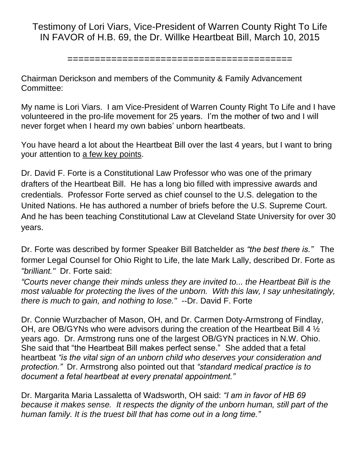Testimony of Lori Viars, Vice-President of Warren County Right To Life IN FAVOR of H.B. 69, the Dr. Willke Heartbeat Bill, March 10, 2015

=========================================

Chairman Derickson and members of the Community & Family Advancement Committee:

My name is Lori Viars. I am Vice-President of Warren County Right To Life and I have volunteered in the pro-life movement for 25 years. I'm the mother of two and I will never forget when I heard my own babies' unborn heartbeats.

You have heard a lot about the Heartbeat Bill over the last 4 years, but I want to bring your attention to a few key points.

Dr. David F. Forte is a Constitutional Law Professor who was one of the primary drafters of the Heartbeat Bill. He has a long bio filled with impressive awards and credentials. Professor Forte served as chief counsel to the U.S. delegation to the United Nations. He has authored a number of briefs before the U.S. Supreme Court. And he has been teaching Constitutional Law at Cleveland State University for over 30 years.

Dr. Forte was described by former Speaker Bill Batchelder as *"the best there is."* The former Legal Counsel for Ohio Right to Life, the late Mark Lally, described Dr. Forte as *"brilliant."* Dr. Forte said:

*"Courts never change their minds unless they are invited to... the Heartbeat Bill is the most valuable for protecting the lives of the unborn. With this law, I say unhesitatingly, there is much to gain, and nothing to lose."* --Dr. David F. Forte

Dr. Connie Wurzbacher of Mason, OH, and Dr. Carmen Doty-Armstrong of Findlay, OH, are OB/GYNs who were advisors during the creation of the Heartbeat Bill 4 ½ years ago. Dr. Armstrong runs one of the largest OB/GYN practices in N.W. Ohio. She said that "the Heartbeat Bill makes perfect sense." She added that a fetal heartbeat *"is the vital sign of an unborn child who deserves your consideration and protection."* Dr. Armstrong also pointed out that *"standard medical practice is to document a fetal heartbeat at every prenatal appointment."* 

Dr. Margarita Maria Lassaletta of Wadsworth, OH said: *"I am in favor of HB 69 because it makes sense. It respects the dignity of the unborn human, still part of the human family. It is the truest bill that has come out in a long time."*